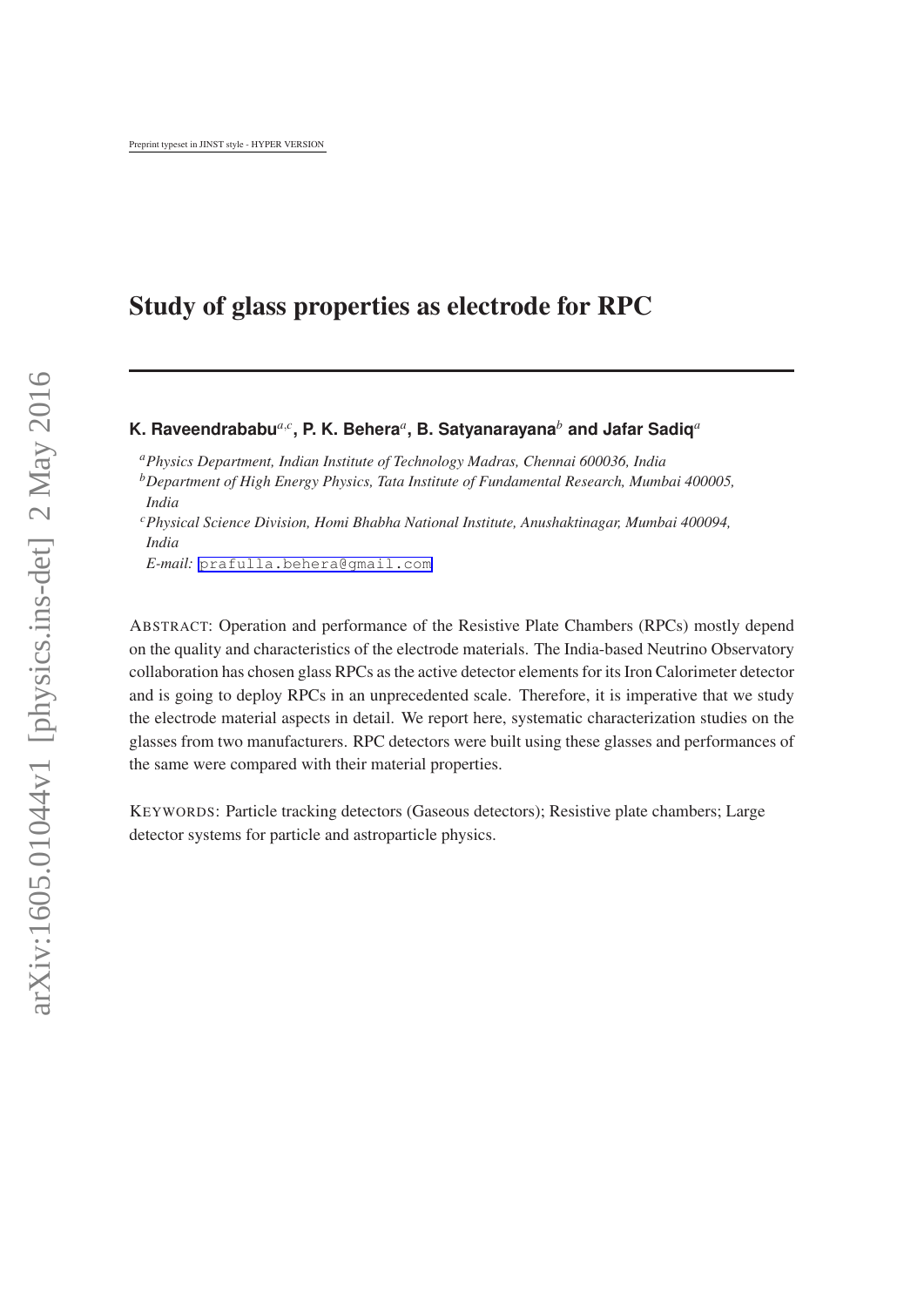# Study of glass properties as electrode for RPC

## **K. Raveendrababu***a*,*<sup>c</sup>* **, P. K. Behera***<sup>a</sup>* **, B. Satyanarayana***<sup>b</sup>* **and Jafar Sadiq***<sup>a</sup>*

*<sup>a</sup>Physics Department, Indian Institute of Technology Madras, Chennai 600036, India <sup>b</sup>Department of High Energy Physics, Tata Institute of Fundamental Research, Mumbai 400005, India*

*<sup>c</sup>Physical Science Division, Homi Bhabha National Institute, Anushaktinagar, Mumbai 400094, India*

*E-mail:* [prafulla.behera@gmail.com](mailto:prafulla.behera@gmail.com)

ABSTRACT: Operation and performance of the Resistive Plate Chambers (RPCs) mostly depend on the quality and characteristics of the electrode materials. The India-based Neutrino Observatory collaboration has chosen glass RPCs as the active detector elements for its Iron Calorimeter detector and is going to deploy RPCs in an unprecedented scale. Therefore, it is imperative that we study the electrode material aspects in detail. We report here, systematic characterization studies on the glasses from two manufacturers. RPC detectors were built using these glasses and performances of the same were compared with their material properties.

KEYWORDS: Particle tracking detectors (Gaseous detectors); Resistive plate chambers; Large detector systems for particle and astroparticle physics.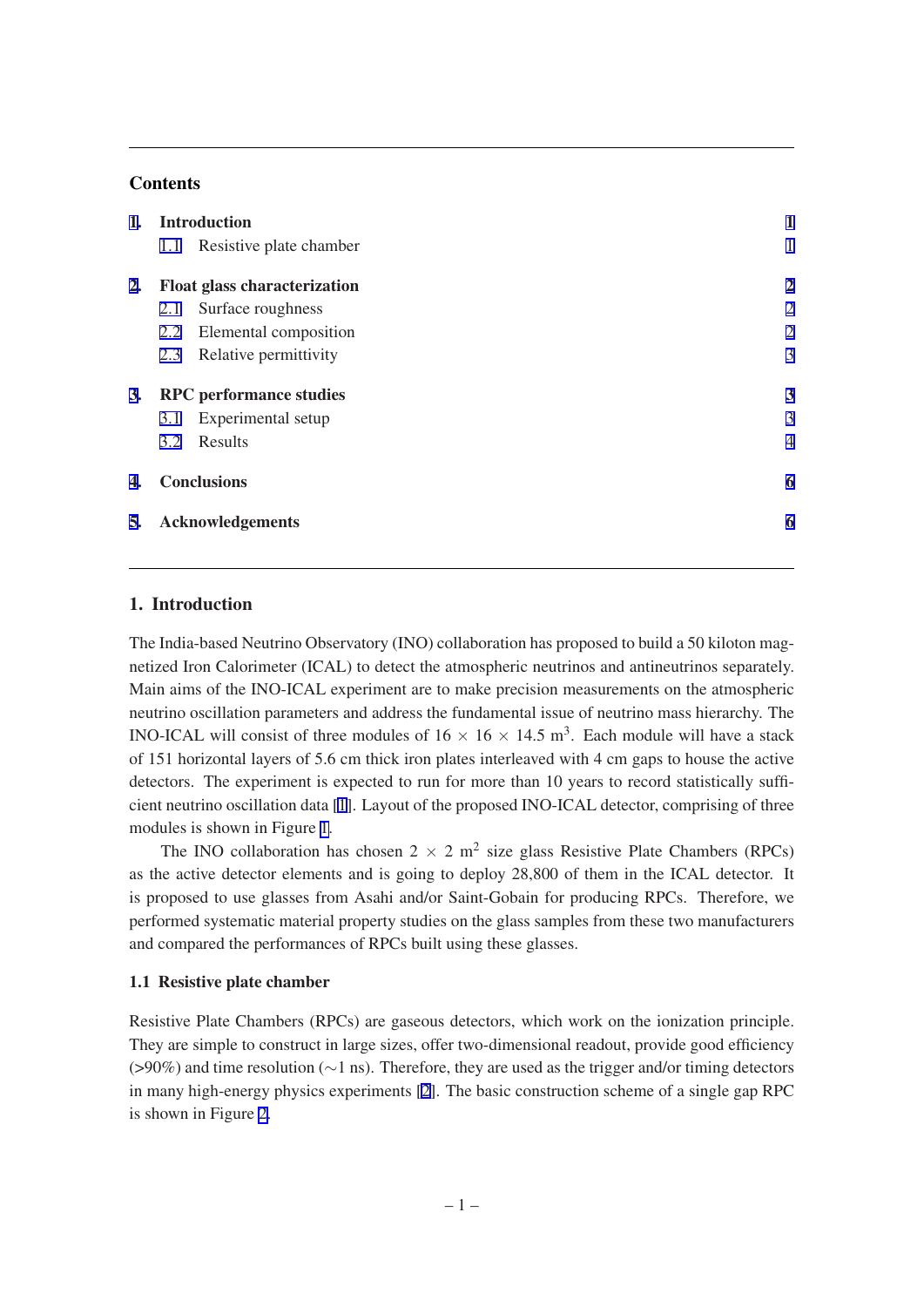### **Contents**

| Resistive plate chamber<br>1.1            |                |
|-------------------------------------------|----------------|
|                                           |                |
| <b>Float glass characterization</b><br>2. | $\overline{2}$ |
| Surface roughness<br>2.1                  | $\overline{2}$ |
| Elemental composition<br>2.2              | $\overline{2}$ |
| Relative permittivity<br>2.3              | 3              |
|                                           |                |
| 3.<br><b>RPC</b> performance studies      | 3              |
| Experimental setup<br>3.1                 | 3              |
| Results<br>3.2                            | $\overline{4}$ |
| <b>Conclusions</b><br>4.                  | 6              |

# 1. Introduction

The India-based Neutrino Observatory (INO) collaboration has proposed to build a 50 kiloton magnetized Iron Calorimeter (ICAL) to detect the atmospheric neutrinos and antineutrinos separately. Main aims of the INO-ICAL experiment are to make precision measurements on the atmospheric neutrino oscillation parameters and address the fundamental issue of neutrino mass hierarchy. The INO-ICAL will consist of three modules of  $16 \times 16 \times 14.5$  m<sup>3</sup>. Each module will have a stack of 151 horizontal layers of 5.6 cm thick iron plates interleaved with 4 cm gaps to house the active detectors. The experiment is expected to run for more than 10 years to record statistically sufficient neutrino oscillation data [[1](#page-7-0)]. Layout of the proposed INO-ICAL detector, comprising of three modules is shown in Figure [1.](#page-2-0)

The INO collaboration has chosen  $2 \times 2$  m<sup>2</sup> size glass Resistive Plate Chambers (RPCs) as the active detector elements and is going to deploy 28,800 of them in the ICAL detector. It is proposed to use glasses from Asahi and/or Saint-Gobain for producing RPCs. Therefore, we performed systematic material property studies on the glass samples from these two manufacturers and compared the performances of RPCs built using these glasses.

#### 1.1 Resistive plate chamber

Resistive Plate Chambers (RPCs) are gaseous detectors, which work on the ionization principle. They are simple to construct in large sizes, offer two-dimensional readout, provide good efficiency (>90%) and time resolution (∼1 ns). Therefore, they are used as the trigger and/or timing detectors in many high-energy physics experiments [[2](#page-7-0)]. The basic construction scheme of a single gap RPC is shown in Figure [2](#page-2-0).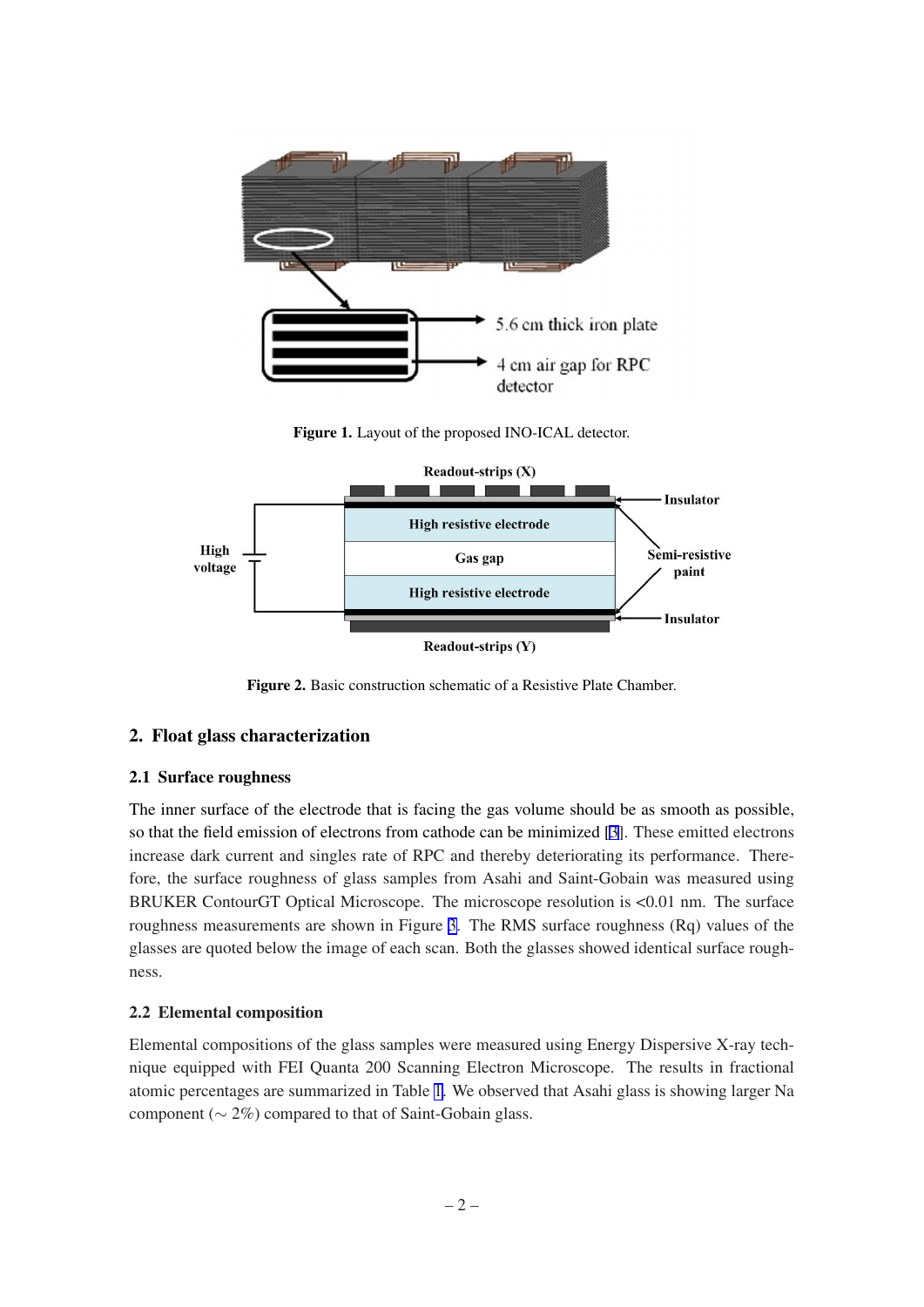<span id="page-2-0"></span>

Figure 1. Layout of the proposed INO-ICAL detector.



Figure 2. Basic construction schematic of a Resistive Plate Chamber.

# 2. Float glass characterization

# 2.1 Surface roughness

The inner surface of the electrode that is facing the gas volume should be as smooth as possible, so that the field emission of electrons from cathode can be minimized [\[3\]](#page-7-0). These emitted electrons increase dark current and singles rate of RPC and thereby deteriorating its performance. Therefore, the surface roughness of glass samples from Asahi and Saint-Gobain was measured using BRUKER ContourGT Optical Microscope. The microscope resolution is <0.01 nm. The surface roughness measurements are shown in Figure [3](#page-3-0). The RMS surface roughness (Rq) values of the glasses are quoted below the image of each scan. Both the glasses showed identical surface roughness.

# 2.2 Elemental composition

Elemental compositions of the glass samples were measured using Energy Dispersive X-ray technique equipped with FEI Quanta 200 Scanning Electron Microscope. The results in fractional atomic percentages are summarized in Table [1](#page-3-0). We observed that Asahi glass is showing larger Na component ( $\sim$  2%) compared to that of Saint-Gobain glass.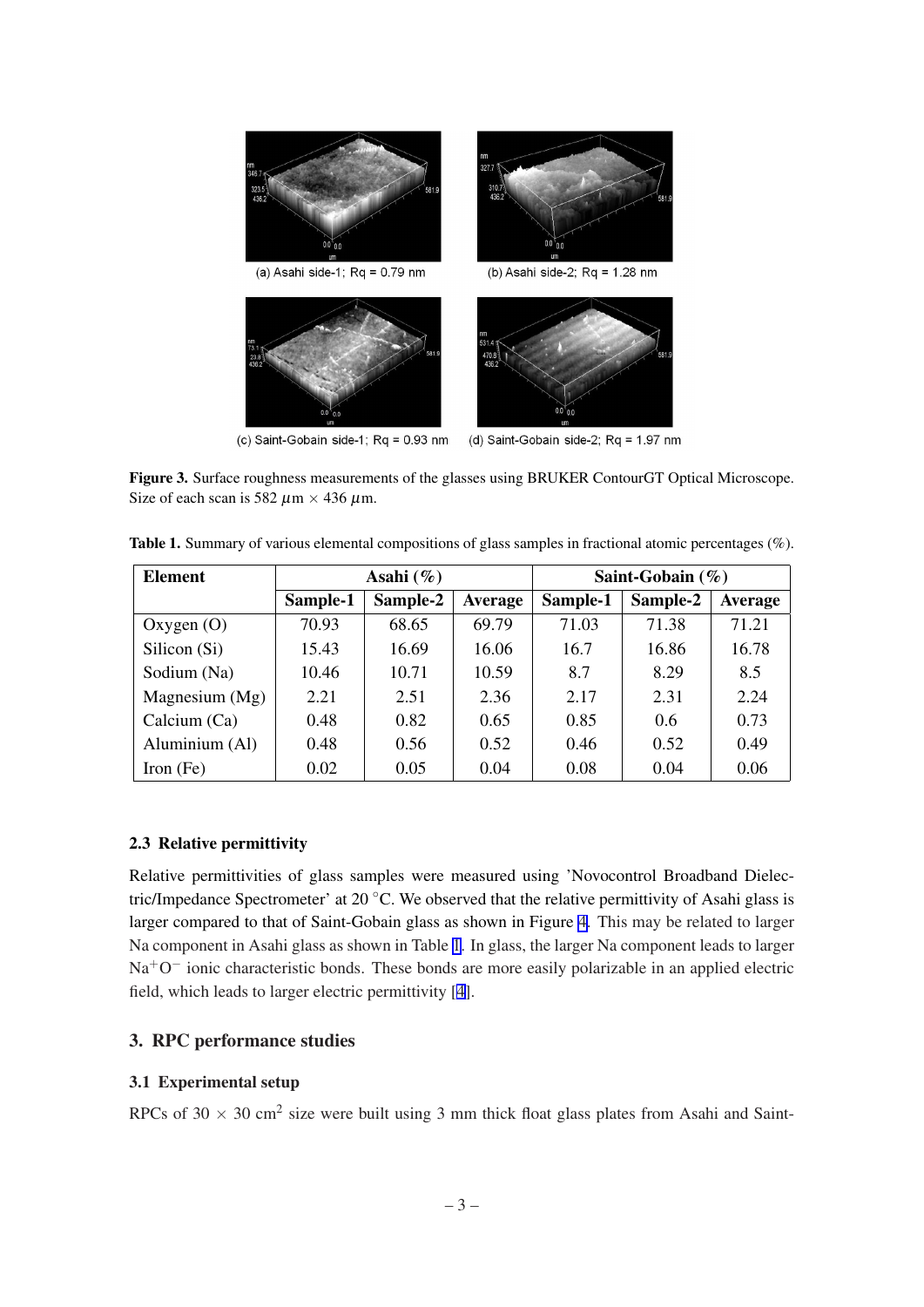<span id="page-3-0"></span>

(c) Saint-Gobain side-1;  $Rq = 0.93$  nm

(d) Saint-Gobain side-2; Rq = 1.97 nm

Figure 3. Surface roughness measurements of the glasses using BRUKER ContourGT Optical Microscope. Size of each scan is 582  $\mu$ m × 436  $\mu$ m.

Table 1. Summary of various elemental compositions of glass samples in fractional atomic percentages (%).

| <b>Element</b>   | Asahi $(\%)$ |          |                | Saint-Gobain $(\%)$ |          |                |
|------------------|--------------|----------|----------------|---------------------|----------|----------------|
|                  | Sample-1     | Sample-2 | <b>Average</b> | Sample-1            | Sample-2 | <b>Average</b> |
| Oxygen $(O)$     | 70.93        | 68.65    | 69.79          | 71.03               | 71.38    | 71.21          |
| Silicon (Si)     | 15.43        | 16.69    | 16.06          | 16.7                | 16.86    | 16.78          |
| Sodium (Na)      | 10.46        | 10.71    | 10.59          | 8.7                 | 8.29     | 8.5            |
| Magnesium $(Mg)$ | 2.21         | 2.51     | 2.36           | 2.17                | 2.31     | 2.24           |
| Calcium (Ca)     | 0.48         | 0.82     | 0.65           | 0.85                | 0.6      | 0.73           |
| Aluminium (Al)   | 0.48         | 0.56     | 0.52           | 0.46                | 0.52     | 0.49           |
| Iron $(Fe)$      | 0.02         | 0.05     | 0.04           | 0.08                | 0.04     | 0.06           |

### 2.3 Relative permittivity

Relative permittivities of glass samples were measured using 'Novocontrol Broadband Dielectric/Impedance Spectrometer' at 20 ◦C. We observed that the relative permittivity of Asahi glass is larger compared to that of Saint-Gobain glass as shown in Figure [4](#page-4-0). This may be related to larger Na component in Asahi glass as shown in Table 1. In glass, the larger Na component leads to larger Na<sup>+</sup>O<sup>-</sup> ionic characteristic bonds. These bonds are more easily polarizable in an applied electric field, which leads to larger electric permittivity [\[4\]](#page-7-0).

# 3. RPC performance studies

### 3.1 Experimental setup

RPCs of 30  $\times$  30 cm<sup>2</sup> size were built using 3 mm thick float glass plates from Asahi and Saint-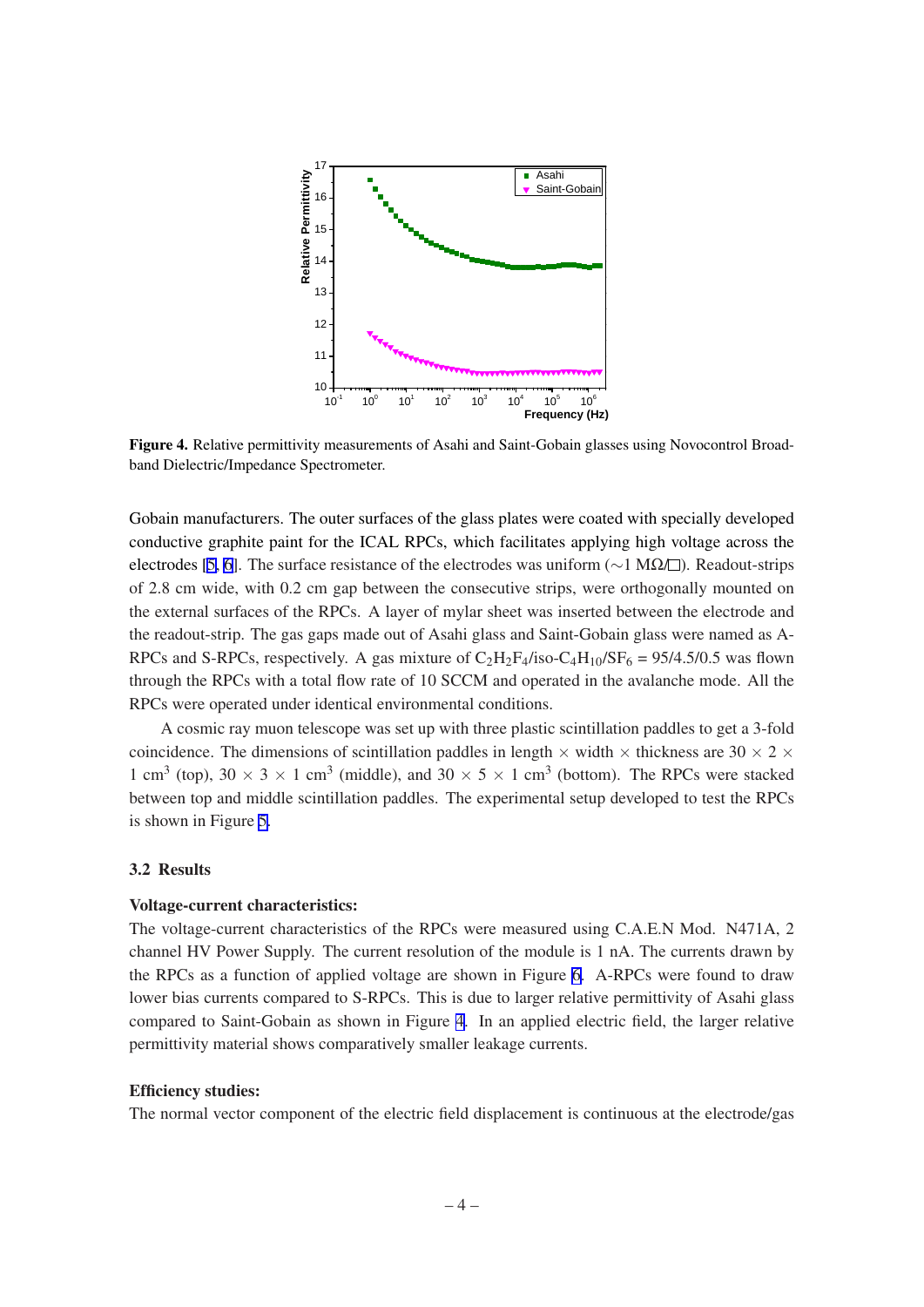<span id="page-4-0"></span>

Figure 4. Relative permittivity measurements of Asahi and Saint-Gobain glasses using Novocontrol Broadband Dielectric/Impedance Spectrometer.

Gobain manufacturers. The outer surfaces of the glass plates were coated with specially developed conductive graphite paint for the ICAL RPCs, which facilitates applying high voltage across the electrodes [[5](#page-7-0), [6\]](#page-7-0). The surface resistance of the electrodes was uniform ( $\sim$ 1 MΩ/ $\Box$ ). Readout-strips of 2.8 cm wide, with 0.2 cm gap between the consecutive strips, were orthogonally mounted on the external surfaces of the RPCs. A layer of mylar sheet was inserted between the electrode and the readout-strip. The gas gaps made out of Asahi glass and Saint-Gobain glass were named as A-RPCs and S-RPCs, respectively. A gas mixture of  $C_2H_2F_4/iso-C_4H_{10}/SF_6 = 95/4.5/0.5$  was flown through the RPCs with a total flow rate of 10 SCCM and operated in the avalanche mode. All the RPCs were operated under identical environmental conditions.

A cosmic ray muon telescope was set up with three plastic scintillation paddles to get a 3-fold coincidence. The dimensions of scintillation paddles in length  $\times$  width  $\times$  thickness are 30  $\times$  2  $\times$ 1 cm<sup>3</sup> (top), 30  $\times$  3  $\times$  1 cm<sup>3</sup> (middle), and 30  $\times$  5  $\times$  1 cm<sup>3</sup> (bottom). The RPCs were stacked between top and middle scintillation paddles. The experimental setup developed to test the RPCs is shown in Figure [5](#page-5-0).

#### 3.2 Results

#### Voltage-current characteristics:

The voltage-current characteristics of the RPCs were measured using C.A.E.N Mod. N471A, 2 channel HV Power Supply. The current resolution of the module is 1 nA. The currents drawn by the RPCs as a function of applied voltage are shown in Figure [6](#page-5-0). A-RPCs were found to draw lower bias currents compared to S-RPCs. This is due to larger relative permittivity of Asahi glass compared to Saint-Gobain as shown in Figure 4. In an applied electric field, the larger relative permittivity material shows comparatively smaller leakage currents.

#### Efficiency studies:

The normal vector component of the electric field displacement is continuous at the electrode/gas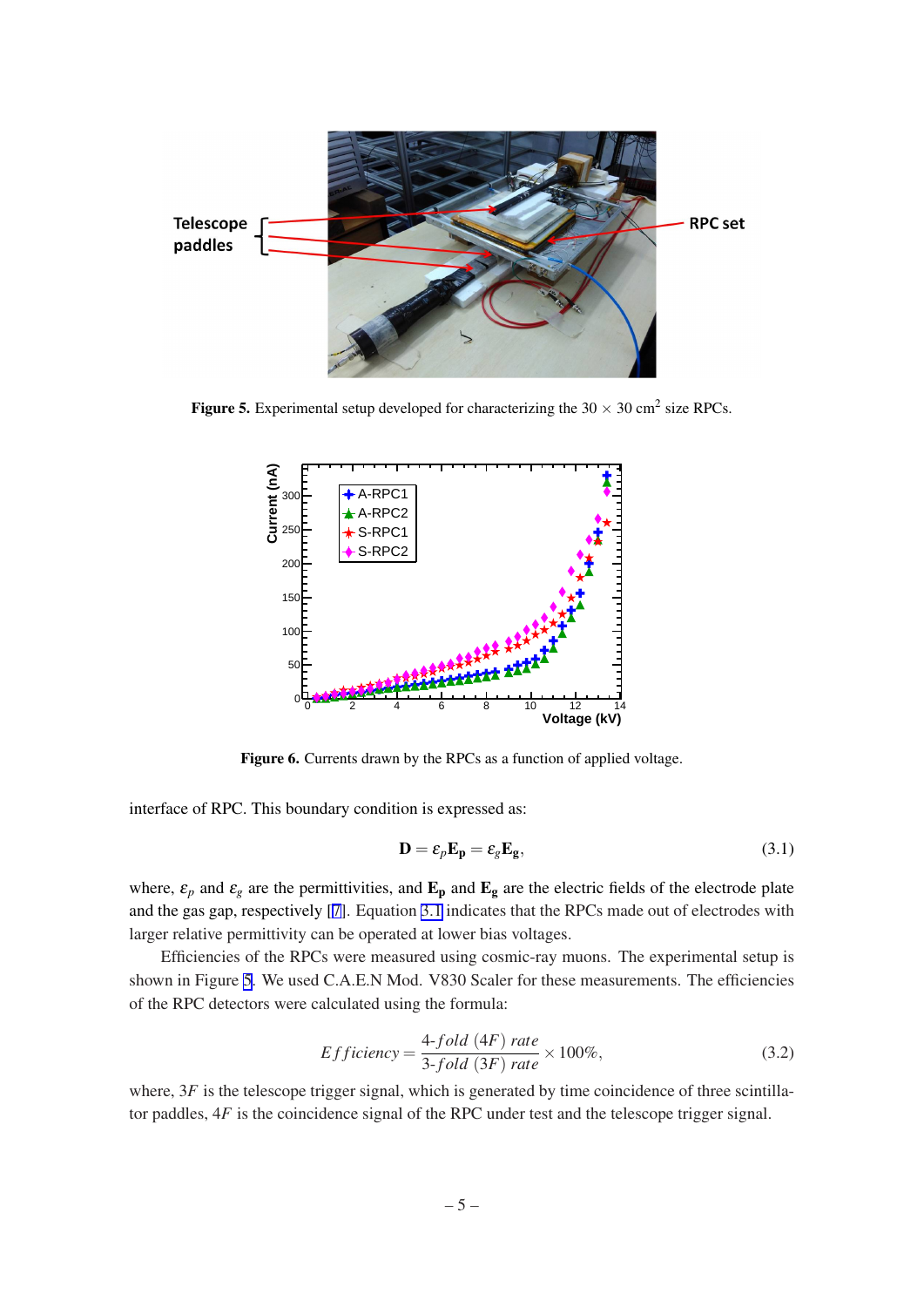<span id="page-5-0"></span>

Figure 5. Experimental setup developed for characterizing the  $30 \times 30$  cm<sup>2</sup> size RPCs.



Figure 6. Currents drawn by the RPCs as a function of applied voltage.

interface of RPC. This boundary condition is expressed as:

$$
\mathbf{D} = \varepsilon_p \mathbf{E_p} = \varepsilon_g \mathbf{E_g},\tag{3.1}
$$

where,  $\varepsilon_p$  and  $\varepsilon_g$  are the permittivities, and  $\mathbf{E}_p$  and  $\mathbf{E}_g$  are the electric fields of the electrode plate and the gas gap, respectively [\[7\]](#page-7-0). Equation 3.1 indicates that the RPCs made out of electrodes with larger relative permittivity can be operated at lower bias voltages.

Efficiencies of the RPCs were measured using cosmic-ray muons. The experimental setup is shown in Figure 5. We used C.A.E.N Mod. V830 Scaler for these measurements. The efficiencies of the RPC detectors were calculated using the formula:

$$
Efficiency = \frac{4\text{-}fold (4F)}{3\text{-}fold (3F)} rate \times 100\%,\tag{3.2}
$$

where,  $3F$  is the telescope trigger signal, which is generated by time coincidence of three scintillator paddles, 4*F* is the coincidence signal of the RPC under test and the telescope trigger signal.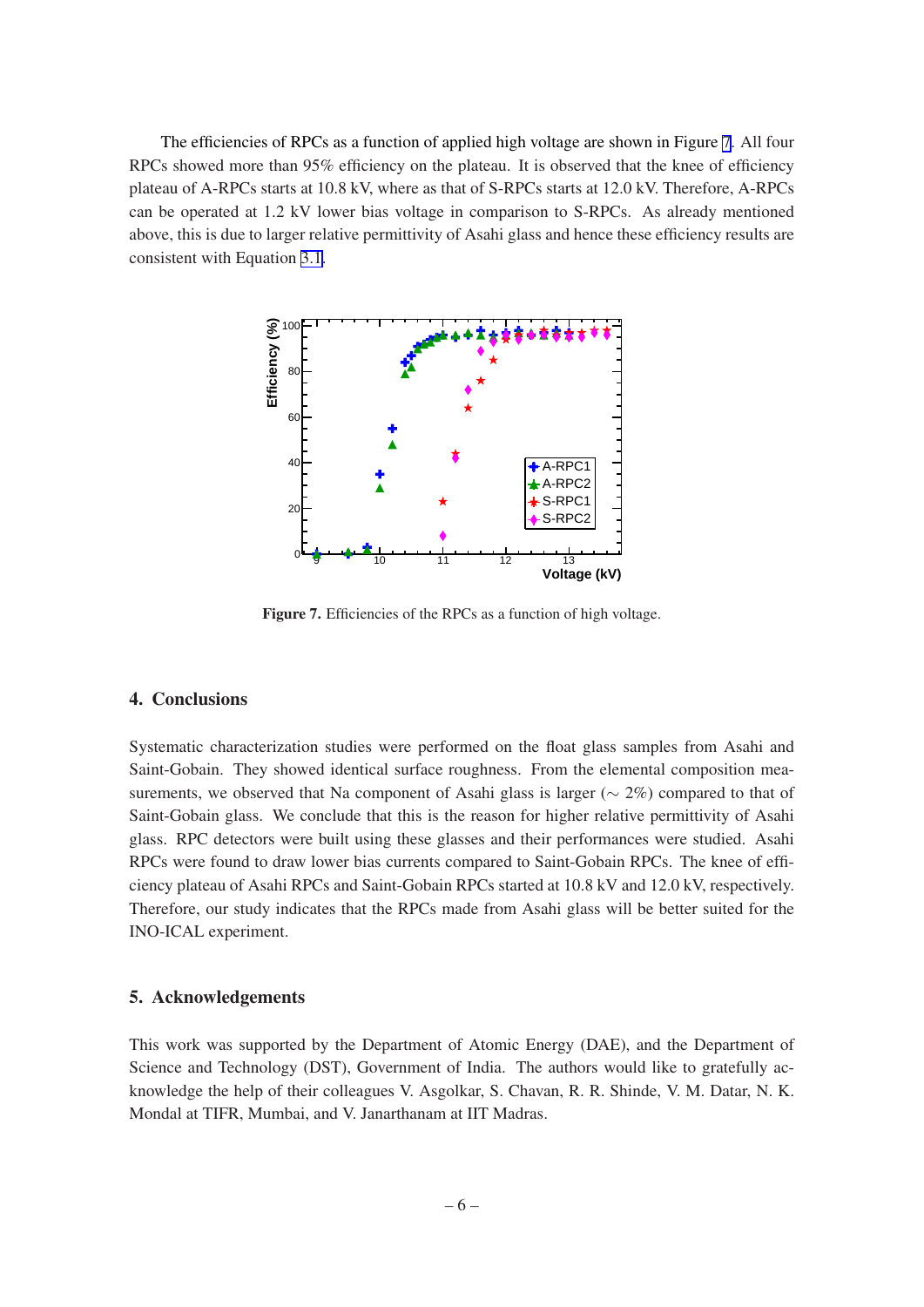<span id="page-6-0"></span>The efficiencies of RPCs as a function of applied high voltage are shown in Figure 7. All four RPCs showed more than 95% efficiency on the plateau. It is observed that the knee of efficiency plateau of A-RPCs starts at 10.8 kV, where as that of S-RPCs starts at 12.0 kV. Therefore, A-RPCs can be operated at 1.2 kV lower bias voltage in comparison to S-RPCs. As already mentioned above, this is due to larger relative permittivity of Asahi glass and hence these efficiency results are consistent with Equation [3.1.](#page-5-0)



Figure 7. Efficiencies of the RPCs as a function of high voltage.

### 4. Conclusions

Systematic characterization studies were performed on the float glass samples from Asahi and Saint-Gobain. They showed identical surface roughness. From the elemental composition measurements, we observed that Na component of Asahi glass is larger ( $\sim$  2%) compared to that of Saint-Gobain glass. We conclude that this is the reason for higher relative permittivity of Asahi glass. RPC detectors were built using these glasses and their performances were studied. Asahi RPCs were found to draw lower bias currents compared to Saint-Gobain RPCs. The knee of efficiency plateau of Asahi RPCs and Saint-Gobain RPCs started at 10.8 kV and 12.0 kV, respectively. Therefore, our study indicates that the RPCs made from Asahi glass will be better suited for the INO-ICAL experiment.

### 5. Acknowledgements

This work was supported by the Department of Atomic Energy (DAE), and the Department of Science and Technology (DST), Government of India. The authors would like to gratefully acknowledge the help of their colleagues V. Asgolkar, S. Chavan, R. R. Shinde, V. M. Datar, N. K. Mondal at TIFR, Mumbai, and V. Janarthanam at IIT Madras.